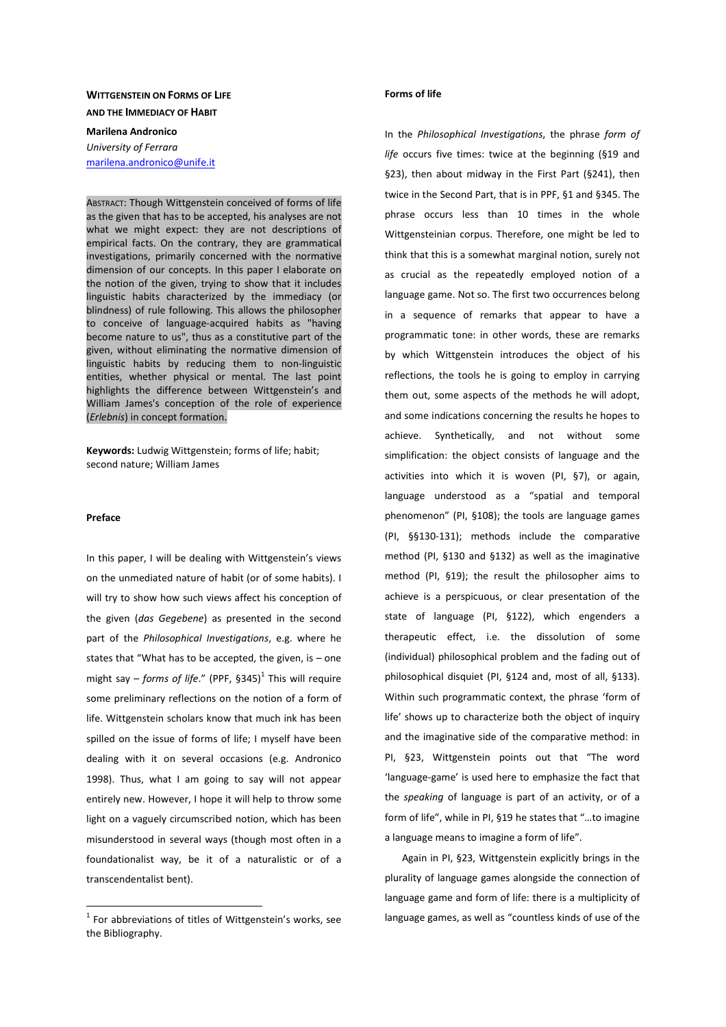# **WITTGENSTEIN ON FORMS OF LIFE AND THE IMMEDIACY OF HABIT**

# **Marilena Andronico**  *University of Ferrara*  marilena.andronico@unife.it

ABSTRACT: Though Wittgenstein conceived of forms of life as the given that has to be accepted, his analyses are not what we might expect: they are not descriptions of empirical facts. On the contrary, they are grammatical investigations, primarily concerned with the normative dimension of our concepts. In this paper I elaborate on the notion of the given, trying to show that it includes linguistic habits characterized by the immediacy (or blindness) of rule following. This allows the philosopher to conceive of language-acquired habits as "having become nature to us", thus as a constitutive part of the given, without eliminating the normative dimension of linguistic habits by reducing them to non-linguistic entities, whether physical or mental. The last point highlights the difference between Wittgenstein's and William James's conception of the role of experience (*Erlebnis*) in concept formation.

**Keywords:** Ludwig Wittgenstein; forms of life; habit; second nature; William James

### **Preface**

 $\overline{a}$ 

In this paper, I will be dealing with Wittgenstein's views on the unmediated nature of habit (or of some habits). I will try to show how such views affect his conception of the given (*das Gegebene*) as presented in the second part of the *Philosophical Investigations*, e.g. where he states that "What has to be accepted, the given, is – one might say – *forms of life.*" (PPF,  $§345$ )<sup>1</sup> This will require some preliminary reflections on the notion of a form of life. Wittgenstein scholars know that much ink has been spilled on the issue of forms of life; I myself have been dealing with it on several occasions (e.g. Andronico 1998). Thus, what I am going to say will not appear entirely new. However, I hope it will help to throw some light on a vaguely circumscribed notion, which has been misunderstood in several ways (though most often in a foundationalist way, be it of a naturalistic or of a transcendentalist bent).

#### **Forms of life**

In the *Philosophical Investigations*, the phrase *form of life* occurs five times: twice at the beginning (§19 and §23), then about midway in the First Part (§241), then twice in the Second Part, that is in PPF, §1 and §345. The phrase occurs less than 10 times in the whole Wittgensteinian corpus. Therefore, one might be led to think that this is a somewhat marginal notion, surely not as crucial as the repeatedly employed notion of a language game. Not so. The first two occurrences belong in a sequence of remarks that appear to have a programmatic tone: in other words, these are remarks by which Wittgenstein introduces the object of his reflections, the tools he is going to employ in carrying them out, some aspects of the methods he will adopt, and some indications concerning the results he hopes to achieve. Synthetically, and not without some simplification: the object consists of language and the activities into which it is woven (PI, §7), or again, language understood as a "spatial and temporal phenomenon" (PI, §108); the tools are language games (PI, §§130-131); methods include the comparative method (PI, §130 and §132) as well as the imaginative method (PI, §19); the result the philosopher aims to achieve is a perspicuous, or clear presentation of the state of language (PI, §122), which engenders a therapeutic effect, i.e. the dissolution of some (individual) philosophical problem and the fading out of philosophical disquiet (PI, §124 and, most of all, §133). Within such programmatic context, the phrase 'form of life' shows up to characterize both the object of inquiry and the imaginative side of the comparative method: in PI, §23, Wittgenstein points out that "The word 'language-game' is used here to emphasize the fact that the *speaking* of language is part of an activity, or of a form of life", while in PI, §19 he states that "…to imagine a language means to imagine a form of life".

Again in PI, §23, Wittgenstein explicitly brings in the plurality of language games alongside the connection of language game and form of life: there is a multiplicity of language games, as well as "countless kinds of use of the

 $1$  For abbreviations of titles of Wittgenstein's works, see the Bibliography.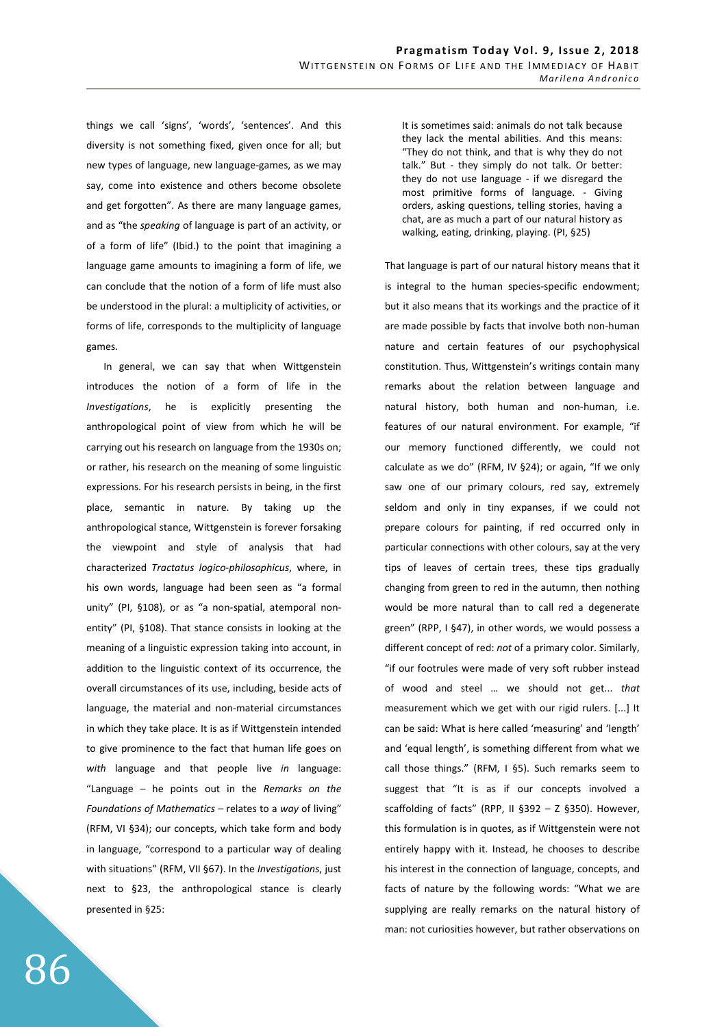things we call 'signs', 'words', 'sentences'. And this diversity is not something fixed, given once for all; but new types of language, new language-games, as we may say, come into existence and others become obsolete and get forgotten". As there are many language games, and as "the *speaking* of language is part of an activity, or of a form of life" (Ibid.) to the point that imagining a language game amounts to imagining a form of life, we can conclude that the notion of a form of life must also be understood in the plural: a multiplicity of activities, or forms of life, corresponds to the multiplicity of language games.

In general, we can say that when Wittgenstein introduces the notion of a form of life in the *Investigations*, he is explicitly presenting the anthropological point of view from which he will be carrying out his research on language from the 1930s on; or rather, his research on the meaning of some linguistic expressions. For his research persists in being, in the first place, semantic in nature. By taking up the anthropological stance, Wittgenstein is forever forsaking the viewpoint and style of analysis that had characterized *Tractatus logico-philosophicus*, where, in his own words, language had been seen as "a formal unity" (PI, §108), or as "a non-spatial, atemporal nonentity" (PI, §108). That stance consists in looking at the meaning of a linguistic expression taking into account, in addition to the linguistic context of its occurrence, the overall circumstances of its use, including, beside acts of language, the material and non-material circumstances in which they take place. It is as if Wittgenstein intended to give prominence to the fact that human life goes on *with* language and that people live *in* language: "Language – he points out in the *Remarks on the Foundations of Mathematics* – relates to a *way* of living" (RFM, VI §34); our concepts, which take form and body in language, "correspond to a particular way of dealing with situations" (RFM, VII §67). In the *Investigations*, just next to §23, the anthropological stance is clearly presented in §25:

It is sometimes said: animals do not talk because they lack the mental abilities. And this means: "They do not think, and that is why they do not talk." But - they simply do not talk. Or better: they do not use language - if we disregard the most primitive forms of language. - Giving orders, asking questions, telling stories, having a chat, are as much a part of our natural history as walking, eating, drinking, playing. (PI, §25)

That language is part of our natural history means that it is integral to the human species-specific endowment; but it also means that its workings and the practice of it are made possible by facts that involve both non-human nature and certain features of our psychophysical constitution. Thus, Wittgenstein's writings contain many remarks about the relation between language and natural history, both human and non-human, i.e. features of our natural environment. For example, "if our memory functioned differently, we could not calculate as we do" (RFM, IV §24); or again, "If we only saw one of our primary colours, red say, extremely seldom and only in tiny expanses, if we could not prepare colours for painting, if red occurred only in particular connections with other colours, say at the very tips of leaves of certain trees, these tips gradually changing from green to red in the autumn, then nothing would be more natural than to call red a degenerate green" (RPP, I §47), in other words, we would possess a different concept of red: *not* of a primary color. Similarly, "if our footrules were made of very soft rubber instead of wood and steel … we should not get... *that* measurement which we get with our rigid rulers. [...] It can be said: What is here called 'measuring' and 'length' and 'equal length', is something different from what we call those things." (RFM, I §5). Such remarks seem to suggest that "It is as if our concepts involved a scaffolding of facts" (RPP, II §392 – Z §350). However, this formulation is in quotes, as if Wittgenstein were not entirely happy with it. Instead, he chooses to describe his interest in the connection of language, concepts, and facts of nature by the following words: "What we are supplying are really remarks on the natural history of man: not curiosities however, but rather observations on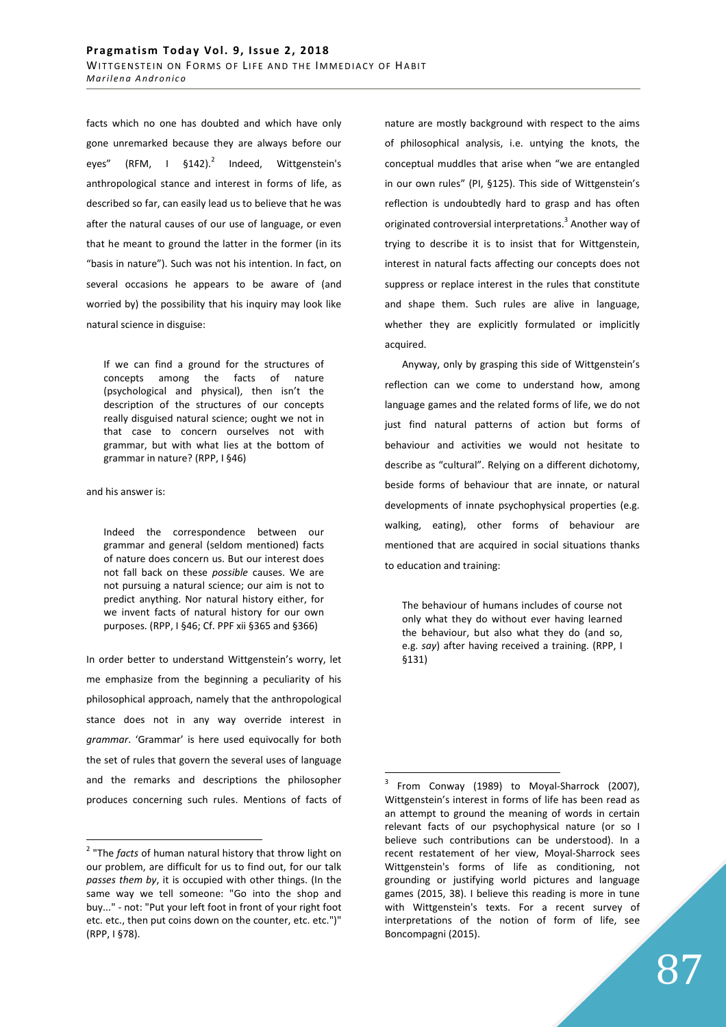facts which no one has doubted and which have only gone unremarked because they are always before our eyes" (RFM,  $1 \, \sin 142$ ).<sup>2</sup> Indeed, Wittgenstein's anthropological stance and interest in forms of life, as described so far, can easily lead us to believe that he was after the natural causes of our use of language, or even that he meant to ground the latter in the former (in its "basis in nature"). Such was not his intention. In fact, on several occasions he appears to be aware of (and worried by) the possibility that his inquiry may look like natural science in disguise:

If we can find a ground for the structures of concepts among the facts of nature (psychological and physical), then isn't the description of the structures of our concepts really disguised natural science; ought we not in that case to concern ourselves not with grammar, but with what lies at the bottom of grammar in nature? (RPP, I §46)

and his answer is:

 $\overline{a}$ 

Indeed the correspondence between our grammar and general (seldom mentioned) facts of nature does concern us. But our interest does not fall back on these *possible* causes. We are not pursuing a natural science; our aim is not to predict anything. Nor natural history either, for we invent facts of natural history for our own purposes. (RPP, I §46; Cf. PPF xii §365 and §366)

In order better to understand Wittgenstein's worry, let me emphasize from the beginning a peculiarity of his philosophical approach, namely that the anthropological stance does not in any way override interest in *grammar*. 'Grammar' is here used equivocally for both the set of rules that govern the several uses of language and the remarks and descriptions the philosopher produces concerning such rules. Mentions of facts of nature are mostly background with respect to the aims of philosophical analysis, i.e. untying the knots, the conceptual muddles that arise when "we are entangled in our own rules" (PI, §125). This side of Wittgenstein's reflection is undoubtedly hard to grasp and has often originated controversial interpretations.<sup>3</sup> Another way of trying to describe it is to insist that for Wittgenstein, interest in natural facts affecting our concepts does not suppress or replace interest in the rules that constitute and shape them. Such rules are alive in language, whether they are explicitly formulated or implicitly acquired.

Anyway, only by grasping this side of Wittgenstein's reflection can we come to understand how, among language games and the related forms of life, we do not just find natural patterns of action but forms of behaviour and activities we would not hesitate to describe as "cultural". Relying on a different dichotomy, beside forms of behaviour that are innate, or natural developments of innate psychophysical properties (e.g. walking, eating), other forms of behaviour are mentioned that are acquired in social situations thanks to education and training:

The behaviour of humans includes of course not only what they do without ever having learned the behaviour, but also what they do (and so, e.g. *say*) after having received a training. (RPP, I §131)

<sup>&</sup>lt;sup>2</sup> "The *facts* of human natural history that throw light on our problem, are difficult for us to find out, for our talk *passes them by*, it is occupied with other things. (In the same way we tell someone: "Go into the shop and buy..." - not: "Put your left foot in front of your right foot etc. etc., then put coins down on the counter, etc. etc.")" (RPP, I §78).

<sup>3</sup> From Conway (1989) to Moyal-Sharrock (2007), Wittgenstein's interest in forms of life has been read as an attempt to ground the meaning of words in certain relevant facts of our psychophysical nature (or so I believe such contributions can be understood). In a recent restatement of her view, Moyal-Sharrock sees Wittgenstein's forms of life as conditioning, not grounding or justifying world pictures and language games (2015, 38). I believe this reading is more in tune with Wittgenstein's texts. For a recent survey of interpretations of the notion of form of life, see Boncompagni (2015).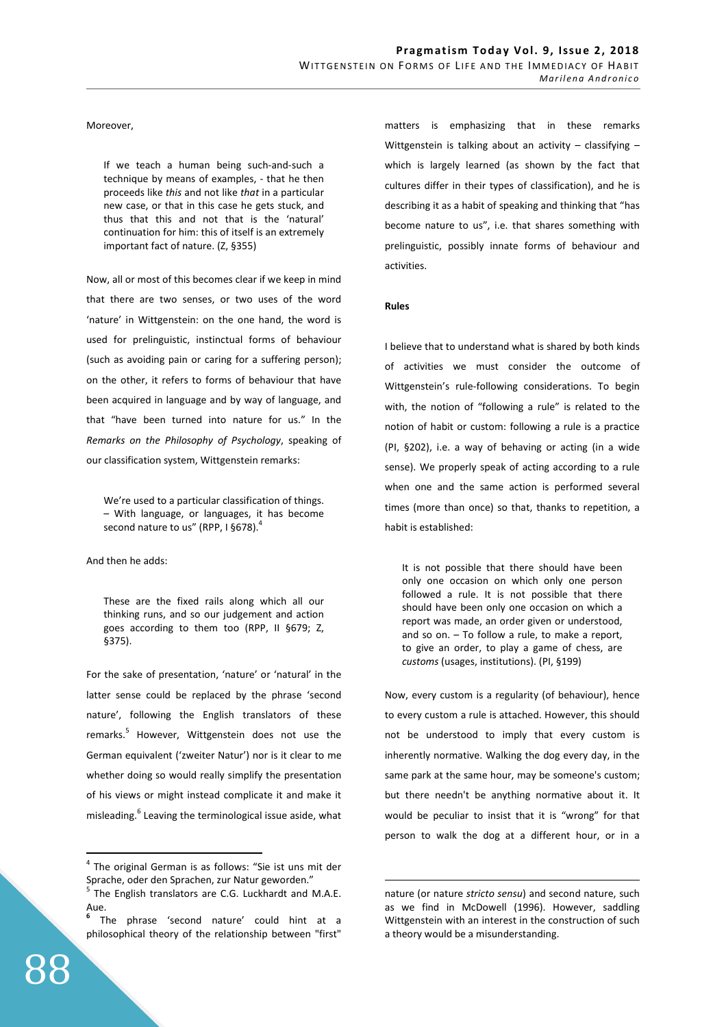### Moreover,

If we teach a human being such-and-such a technique by means of examples, - that he then proceeds like *this* and not like *that* in a particular new case, or that in this case he gets stuck, and thus that this and not that is the 'natural' continuation for him: this of itself is an extremely important fact of nature. (Z, §355)

Now, all or most of this becomes clear if we keep in mind that there are two senses, or two uses of the word 'nature' in Wittgenstein: on the one hand, the word is used for prelinguistic, instinctual forms of behaviour (such as avoiding pain or caring for a suffering person); on the other, it refers to forms of behaviour that have been acquired in language and by way of language, and that "have been turned into nature for us." In the *Remarks on the Philosophy of Psychology*, speaking of our classification system, Wittgenstein remarks:

We're used to a particular classification of things. – With language, or languages, it has become second nature to us" (RPP, I §678).

And then he adds:

These are the fixed rails along which all our thinking runs, and so our judgement and action goes according to them too (RPP, II §679; Z, §375).

For the sake of presentation, 'nature' or 'natural' in the latter sense could be replaced by the phrase 'second nature', following the English translators of these remarks.<sup>5</sup> However, Wittgenstein does not use the German equivalent ('zweiter Natur') nor is it clear to me whether doing so would really simplify the presentation of his views or might instead complicate it and make it misleading.<sup>6</sup> Leaving the terminological issue aside, what matters is emphasizing that in these remarks Wittgenstein is talking about an activity  $-$  classifying  $$ which is largely learned (as shown by the fact that cultures differ in their types of classification), and he is describing it as a habit of speaking and thinking that "has become nature to us", i.e. that shares something with prelinguistic, possibly innate forms of behaviour and activities.

#### **Rules**

 $\overline{a}$ 

I believe that to understand what is shared by both kinds of activities we must consider the outcome of Wittgenstein's rule-following considerations. To begin with, the notion of "following a rule" is related to the notion of habit or custom: following a rule is a practice (PI, §202), i.e. a way of behaving or acting (in a wide sense). We properly speak of acting according to a rule when one and the same action is performed several times (more than once) so that, thanks to repetition, a habit is established:

It is not possible that there should have been only one occasion on which only one person followed a rule. It is not possible that there should have been only one occasion on which a report was made, an order given or understood, and so on. – To follow a rule, to make a report, to give an order, to play a game of chess, are *customs* (usages, institutions). (PI, §199)

Now, every custom is a regularity (of behaviour), hence to every custom a rule is attached. However, this should not be understood to imply that every custom is inherently normative. Walking the dog every day, in the same park at the same hour, may be someone's custom; but there needn't be anything normative about it. It would be peculiar to insist that it is "wrong" for that person to walk the dog at a different hour, or in a

<sup>4</sup> The original German is as follows: "Sie ist uns mit der Sprache, oder den Sprachen, zur Natur geworden."

<sup>5</sup> The English translators are C.G. Luckhardt and M.A.E. Aue.

**<sup>6</sup>** The phrase 'second nature' could hint at a philosophical theory of the relationship between "first"

nature (or nature *stricto sensu*) and second nature, such as we find in McDowell (1996). However, saddling Wittgenstein with an interest in the construction of such a theory would be a misunderstanding.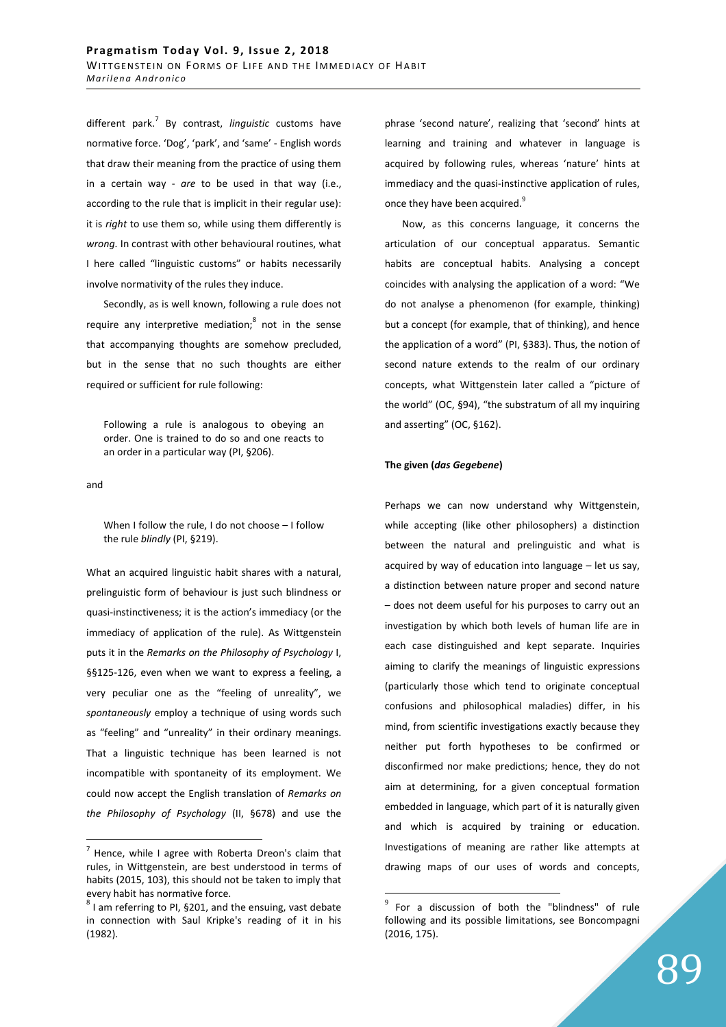different park.<sup>7</sup> By contrast, *linguistic* customs have normative force. 'Dog', 'park', and 'same' - English words that draw their meaning from the practice of using them in a certain way - *are* to be used in that way (i.e., according to the rule that is implicit in their regular use): it is *right* to use them so, while using them differently is *wrong.* In contrast with other behavioural routines, what I here called "linguistic customs" or habits necessarily involve normativity of the rules they induce.

Secondly, as is well known, following a rule does not require any interpretive mediation; $^8$  not in the sense that accompanying thoughts are somehow precluded, but in the sense that no such thoughts are either required or sufficient for rule following:

Following a rule is analogous to obeying an order. One is trained to do so and one reacts to an order in a particular way (PI, §206).

and

 $\overline{a}$ 

When I follow the rule, I do not choose – I follow the rule *blindly* (PI, §219).

What an acquired linguistic habit shares with a natural, prelinguistic form of behaviour is just such blindness or quasi-instinctiveness; it is the action's immediacy (or the immediacy of application of the rule). As Wittgenstein puts it in the *Remarks on the Philosophy of Psychology* I, §§125-126, even when we want to express a feeling, a very peculiar one as the "feeling of unreality", we *spontaneously* employ a technique of using words such as "feeling" and "unreality" in their ordinary meanings. That a linguistic technique has been learned is not incompatible with spontaneity of its employment. We could now accept the English translation of *Remarks on the Philosophy of Psychology* (II, §678) and use the phrase 'second nature', realizing that 'second' hints at learning and training and whatever in language is acquired by following rules, whereas 'nature' hints at immediacy and the quasi-instinctive application of rules, once they have been acquired.<sup>9</sup>

Now, as this concerns language, it concerns the articulation of our conceptual apparatus. Semantic habits are conceptual habits. Analysing a concept coincides with analysing the application of a word: "We do not analyse a phenomenon (for example, thinking) but a concept (for example, that of thinking), and hence the application of a word" (PI, §383). Thus, the notion of second nature extends to the realm of our ordinary concepts, what Wittgenstein later called a "picture of the world" (OC, §94), "the substratum of all my inquiring and asserting" (OC, §162).

## **The given (***das Gegebene***)**

Perhaps we can now understand why Wittgenstein, while accepting (like other philosophers) a distinction between the natural and prelinguistic and what is acquired by way of education into language – let us say, a distinction between nature proper and second nature – does not deem useful for his purposes to carry out an investigation by which both levels of human life are in each case distinguished and kept separate. Inquiries aiming to clarify the meanings of linguistic expressions (particularly those which tend to originate conceptual confusions and philosophical maladies) differ, in his mind, from scientific investigations exactly because they neither put forth hypotheses to be confirmed or disconfirmed nor make predictions; hence, they do not aim at determining, for a given conceptual formation embedded in language, which part of it is naturally given and which is acquired by training or education. Investigations of meaning are rather like attempts at drawing maps of our uses of words and concepts,

 $^7$  Hence, while I agree with Roberta Dreon's claim that rules, in Wittgenstein, are best understood in terms of habits (2015, 103), this should not be taken to imply that every habit has normative force.

 $8$  I am referring to PI, §201, and the ensuing, vast debate in connection with Saul Kripke's reading of it in his (1982).

<sup>&</sup>lt;sup>9</sup> For a discussion of both the "blindness" of rule following and its possible limitations, see Boncompagni (2016, 175).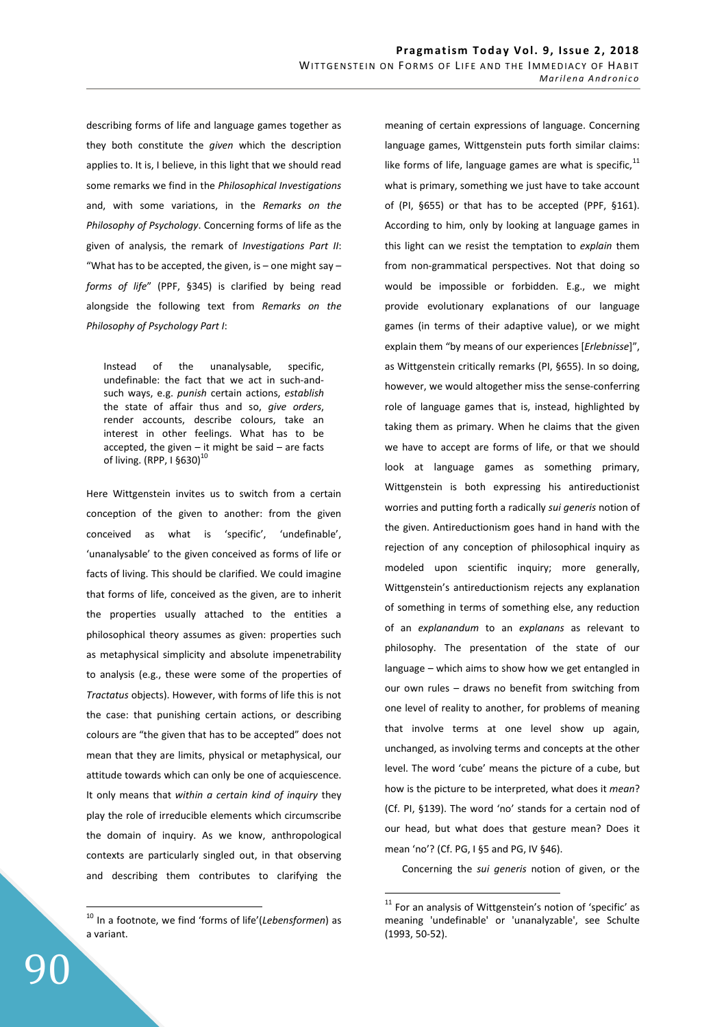describing forms of life and language games together as they both constitute the *given* which the description applies to. It is, I believe, in this light that we should read some remarks we find in the *Philosophical Investigations* and, with some variations, in the *Remarks on the Philosophy of Psychology*. Concerning forms of life as the given of analysis, the remark of *Investigations Part II*: "What has to be accepted, the given, is – one might say – *forms of life*" (PPF, §345) is clarified by being read alongside the following text from *Remarks on the Philosophy of Psychology Part I*:

Instead of the unanalysable, specific, undefinable: the fact that we act in such-andsuch ways, e.g. *punish* certain actions, *establish* the state of affair thus and so, *give orders*, render accounts, describe colours, take an interest in other feelings. What has to be accepted, the given  $-$  it might be said  $-$  are facts of living. (RPP, I §630)<sup>10</sup>

Here Wittgenstein invites us to switch from a certain conception of the given to another: from the given conceived as what is 'specific', 'undefinable', 'unanalysable' to the given conceived as forms of life or facts of living. This should be clarified. We could imagine that forms of life, conceived as the given, are to inherit the properties usually attached to the entities a philosophical theory assumes as given: properties such as metaphysical simplicity and absolute impenetrability to analysis (e.g., these were some of the properties of *Tractatus* objects). However, with forms of life this is not the case: that punishing certain actions, or describing colours are "the given that has to be accepted" does not mean that they are limits, physical or metaphysical, our attitude towards which can only be one of acquiescence. It only means that *within a certain kind of inquiry* they play the role of irreducible elements which circumscribe the domain of inquiry. As we know, anthropological contexts are particularly singled out, in that observing and describing them contributes to clarifying the meaning of certain expressions of language. Concerning language games, Wittgenstein puts forth similar claims: like forms of life, language games are what is specific, $11$ what is primary, something we just have to take account of (PI, §655) or that has to be accepted (PPF, §161). According to him, only by looking at language games in this light can we resist the temptation to *explain* them from non-grammatical perspectives. Not that doing so would be impossible or forbidden. E.g., we might provide evolutionary explanations of our language games (in terms of their adaptive value), or we might explain them "by means of our experiences [*Erlebnisse*]", as Wittgenstein critically remarks (PI, §655). In so doing, however, we would altogether miss the sense-conferring role of language games that is, instead, highlighted by taking them as primary. When he claims that the given we have to accept are forms of life, or that we should look at language games as something primary, Wittgenstein is both expressing his antireductionist worries and putting forth a radically *sui generis* notion of the given. Antireductionism goes hand in hand with the rejection of any conception of philosophical inquiry as modeled upon scientific inquiry; more generally, Wittgenstein's antireductionism rejects any explanation of something in terms of something else, any reduction of an *explanandum* to an *explanans* as relevant to philosophy. The presentation of the state of our language – which aims to show how we get entangled in our own rules – draws no benefit from switching from one level of reality to another, for problems of meaning that involve terms at one level show up again, unchanged, as involving terms and concepts at the other level. The word 'cube' means the picture of a cube, but how is the picture to be interpreted, what does it *mean*? (Cf. PI, §139). The word 'no' stands for a certain nod of our head, but what does that gesture mean? Does it mean 'no'? (Cf. PG, I §5 and PG, IV §46).

Concerning the *sui generis* notion of given, or the

 $\overline{a}$ 

90

<sup>10</sup> In a footnote, we find 'forms of life'(*Lebensformen*) as a variant.

 $11$  For an analysis of Wittgenstein's notion of 'specific' as meaning 'undefinable' or 'unanalyzable', see Schulte (1993, 50-52).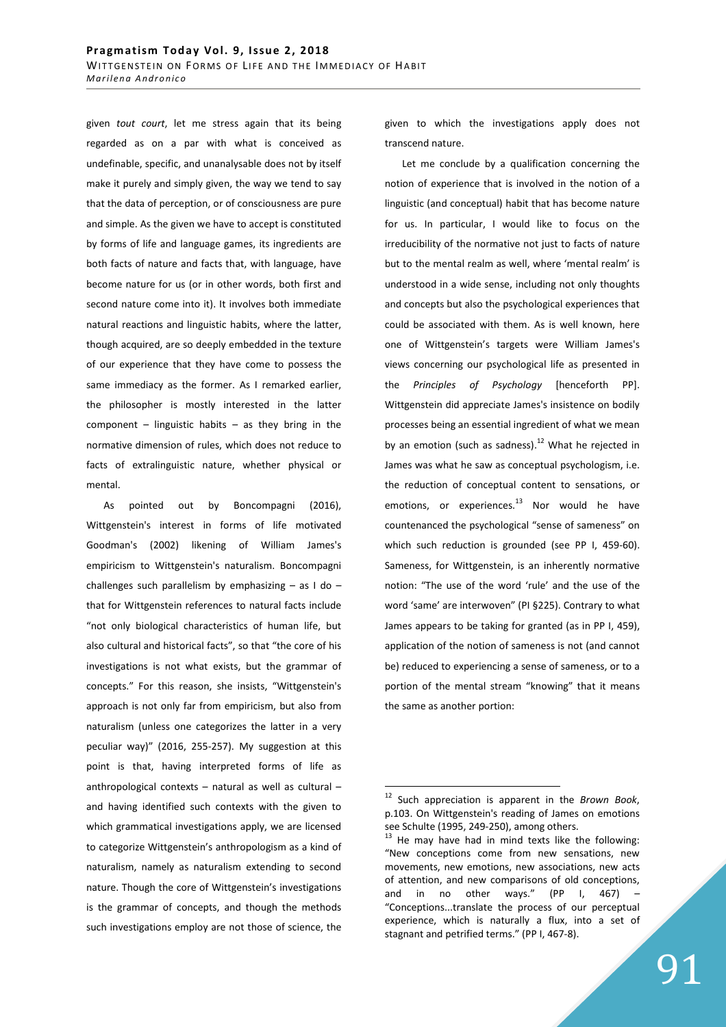given *tout court*, let me stress again that its being regarded as on a par with what is conceived as undefinable, specific, and unanalysable does not by itself make it purely and simply given, the way we tend to say that the data of perception, or of consciousness are pure and simple. As the given we have to accept is constituted by forms of life and language games, its ingredients are both facts of nature and facts that, with language, have become nature for us (or in other words, both first and second nature come into it). It involves both immediate natural reactions and linguistic habits, where the latter, though acquired, are so deeply embedded in the texture of our experience that they have come to possess the same immediacy as the former. As I remarked earlier, the philosopher is mostly interested in the latter component – linguistic habits – as they bring in the normative dimension of rules, which does not reduce to facts of extralinguistic nature, whether physical or mental.

As pointed out by Boncompagni (2016), Wittgenstein's interest in forms of life motivated Goodman's (2002) likening of William James's empiricism to Wittgenstein's naturalism. Boncompagni challenges such parallelism by emphasizing  $-$  as I do  $$ that for Wittgenstein references to natural facts include "not only biological characteristics of human life, but also cultural and historical facts", so that "the core of his investigations is not what exists, but the grammar of concepts." For this reason, she insists, "Wittgenstein's approach is not only far from empiricism, but also from naturalism (unless one categorizes the latter in a very peculiar way)" (2016, 255-257). My suggestion at this point is that, having interpreted forms of life as anthropological contexts – natural as well as cultural – and having identified such contexts with the given to which grammatical investigations apply, we are licensed to categorize Wittgenstein's anthropologism as a kind of naturalism, namely as naturalism extending to second nature. Though the core of Wittgenstein's investigations is the grammar of concepts, and though the methods such investigations employ are not those of science, the

given to which the investigations apply does not transcend nature.

Let me conclude by a qualification concerning the notion of experience that is involved in the notion of a linguistic (and conceptual) habit that has become nature for us. In particular, I would like to focus on the irreducibility of the normative not just to facts of nature but to the mental realm as well, where 'mental realm' is understood in a wide sense, including not only thoughts and concepts but also the psychological experiences that could be associated with them. As is well known, here one of Wittgenstein's targets were William James's views concerning our psychological life as presented in the *Principles of Psychology* [henceforth PP]. Wittgenstein did appreciate James's insistence on bodily processes being an essential ingredient of what we mean by an emotion (such as sadness).<sup>12</sup> What he rejected in James was what he saw as conceptual psychologism, i.e. the reduction of conceptual content to sensations, or emotions, or experiences. $^{13}$  Nor would he have countenanced the psychological "sense of sameness" on which such reduction is grounded (see PP I, 459-60). Sameness, for Wittgenstein, is an inherently normative notion: "The use of the word 'rule' and the use of the word 'same' are interwoven" (PI §225). Contrary to what James appears to be taking for granted (as in PP I, 459), application of the notion of sameness is not (and cannot be) reduced to experiencing a sense of sameness, or to a portion of the mental stream "knowing" that it means the same as another portion:

Such appreciation is apparent in the *Brown Book*, p.103. On Wittgenstein's reading of James on emotions see Schulte (1995, 249-250), among others.

<sup>13</sup> He may have had in mind texts like the following: "New conceptions come from new sensations, new movements, new emotions, new associations, new acts of attention, and new comparisons of old conceptions, and in no other ways." (PP I, 467) "Conceptions...translate the process of our perceptual experience, which is naturally a flux, into a set of stagnant and petrified terms." (PP I, 467-8).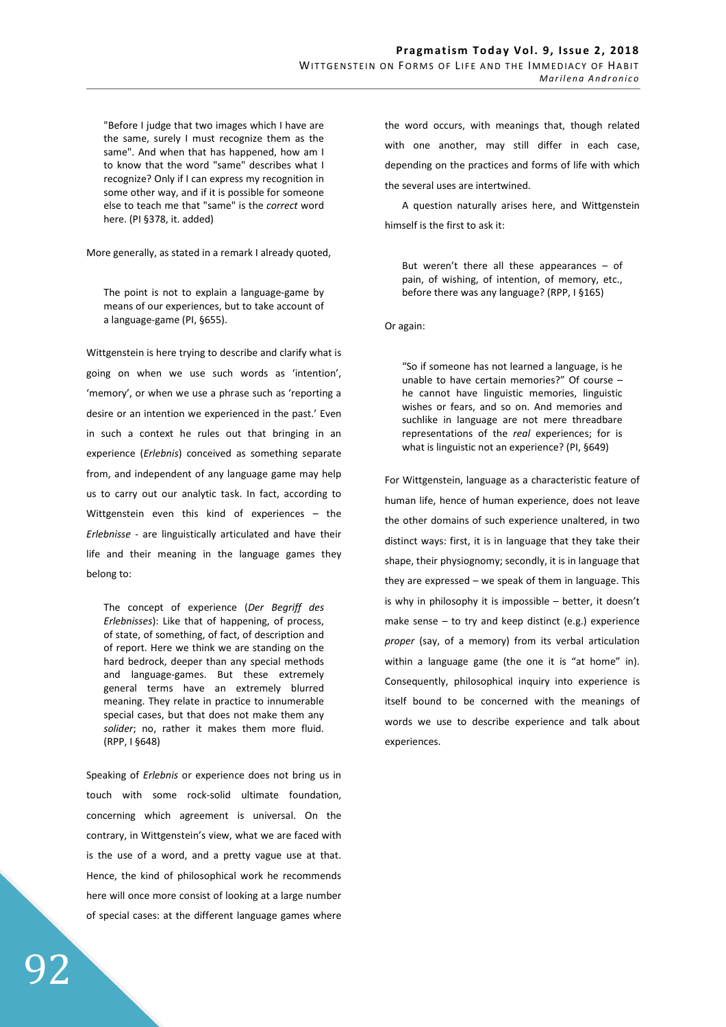"Before I judge that two images which I have are the same, surely I must recognize them as the same". And when that has happened, how am I to know that the word "same" describes what I recognize? Only if I can express my recognition in some other way, and if it is possible for someone else to teach me that "same" is the *correct* word here. (PI §378, it. added)

More generally, as stated in a remark I already quoted,

The point is not to explain a language-game by means of our experiences, but to take account of a language-game (PI, §655).

Wittgenstein is here trying to describe and clarify what is going on when we use such words as 'intention', 'memory', or when we use a phrase such as 'reporting a desire or an intention we experienced in the past.' Even in such a context he rules out that bringing in an experience (*Erlebnis*) conceived as something separate from, and independent of any language game may help us to carry out our analytic task. In fact, according to Wittgenstein even this kind of experiences – the *Erlebnisse* - are linguistically articulated and have their life and their meaning in the language games they belong to:

The concept of experience (*Der Begriff des Erlebnisses*): Like that of happening, of process, of state, of something, of fact, of description and of report. Here we think we are standing on the hard bedrock, deeper than any special methods and language-games. But these extremely general terms have an extremely blurred meaning. They relate in practice to innumerable special cases, but that does not make them any *solider*; no, rather it makes them more fluid. (RPP, I §648)

Speaking of *Erlebnis* or experience does not bring us in touch with some rock-solid ultimate foundation, concerning which agreement is universal. On the contrary, in Wittgenstein's view, what we are faced with is the use of a word, and a pretty vague use at that. Hence, the kind of philosophical work he recommends here will once more consist of looking at a large number of special cases: at the different language games where

the word occurs, with meanings that, though related with one another, may still differ in each case, depending on the practices and forms of life with which the several uses are intertwined.

A question naturally arises here, and Wittgenstein himself is the first to ask it:

But weren't there all these appearances – of pain, of wishing, of intention, of memory, etc., before there was any language? (RPP, I §165)

Or again:

"So if someone has not learned a language, is he unable to have certain memories?" Of course – he cannot have linguistic memories, linguistic wishes or fears, and so on. And memories and suchlike in language are not mere threadbare representations of the *real* experiences; for is what is linguistic not an experience? (PI, §649)

For Wittgenstein, language as a characteristic feature of human life, hence of human experience, does not leave the other domains of such experience unaltered, in two distinct ways: first, it is in language that they take their shape, their physiognomy; secondly, it is in language that they are expressed – we speak of them in language. This is why in philosophy it is impossible – better, it doesn't make sense – to try and keep distinct (e.g.) experience *proper* (say, of a memory) from its verbal articulation within a language game (the one it is "at home" in). Consequently, philosophical inquiry into experience is itself bound to be concerned with the meanings of words we use to describe experience and talk about experiences.